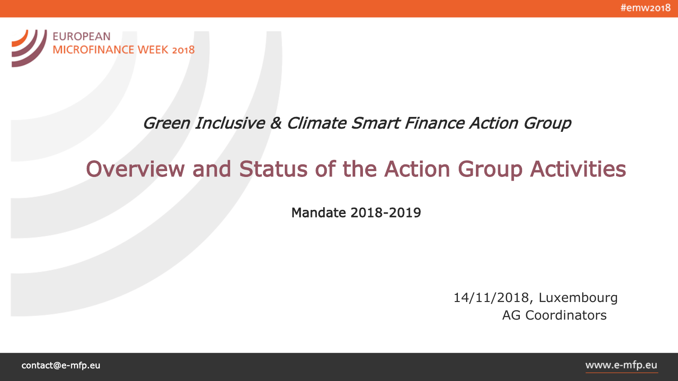#emw2018



### Green Inclusive & Climate Smart Finance Action Group

# Overview and Status of the Action Group Activities

Mandate 2018-2019

14/11/2018, Luxembourg AG Coordinators

contact@e-mfp.eu

www.e-mfp.eu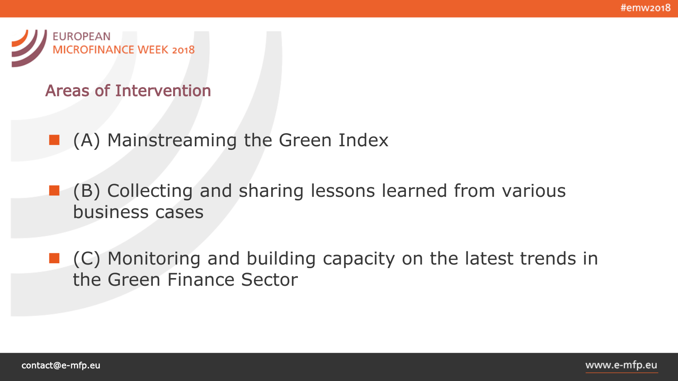

#### Areas of Intervention

- (A) Mainstreaming the Green Index
- (B) Collecting and sharing lessons learned from various business cases
- (C) Monitoring and building capacity on the latest trends in the Green Finance Sector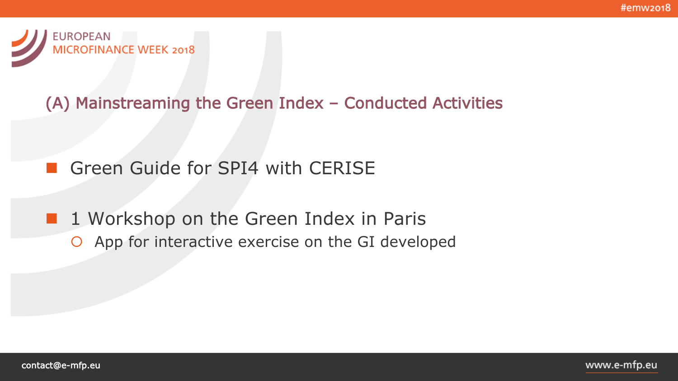

### (A) Mainstreaming the Green Index – Conducted Activities

### Green Guide for SPI4 with CERISE

**1** Workshop on the Green Index in Paris App for interactive exercise on the GI developed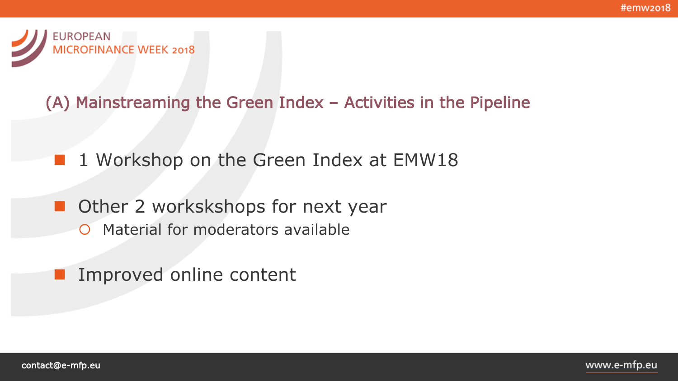

### (A) Mainstreaming the Green Index – Activities in the Pipeline

- 1 Workshop on the Green Index at EMW18
- **Other 2 workskshops for next year**  Material for moderators available
	- Improved online content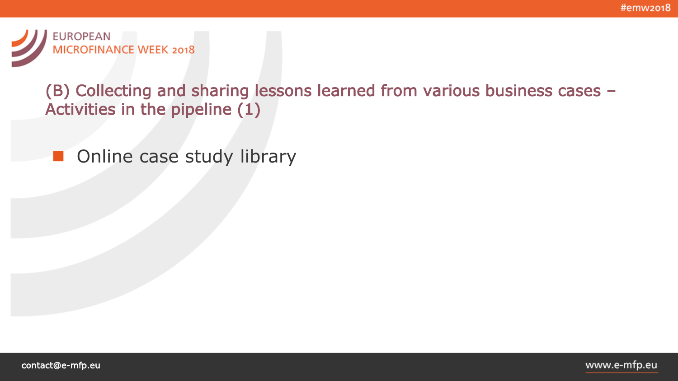

### (B) Collecting and sharing lessons learned from various business cases – Activities in the pipeline (1)

**Online case study library**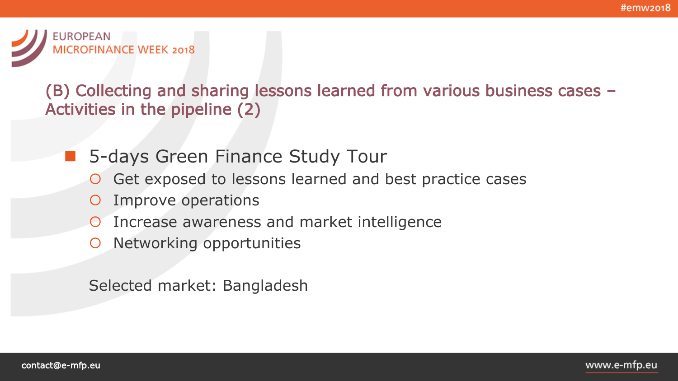

### (B) Collecting and sharing lessons learned from various business cases – Activities in the pipeline (2)

- 5-days Green Finance Study Tour
	- Get exposed to lessons learned and best practice cases
	- Improve operations
	- Increase awareness and market intelligence
	- O Networking opportunities

Selected market: Bangladesh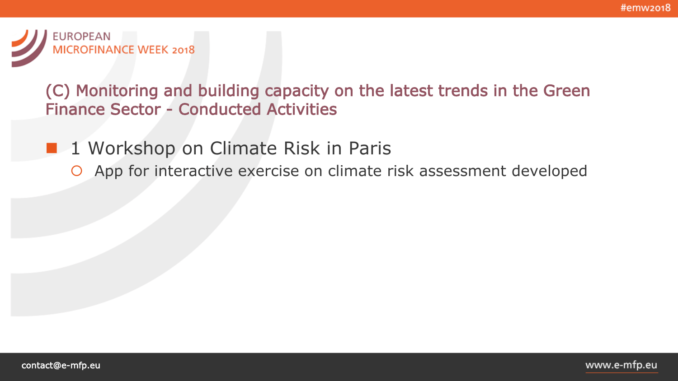

(C) Monitoring and building capacity on the latest trends in the Green Finance Sector - Conducted Activities

- **1** Workshop on Climate Risk in Paris
	- App for interactive exercise on climate risk assessment developed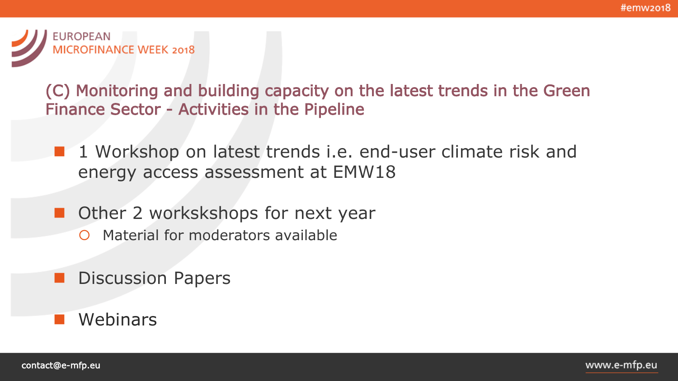

(C) Monitoring and building capacity on the latest trends in the Green Finance Sector - Activities in the Pipeline

- 1 Workshop on latest trends i.e. end-user climate risk and energy access assessment at EMW18
- Other 2 workskshops for next year
	- O Material for moderators available
	- Discussion Papers